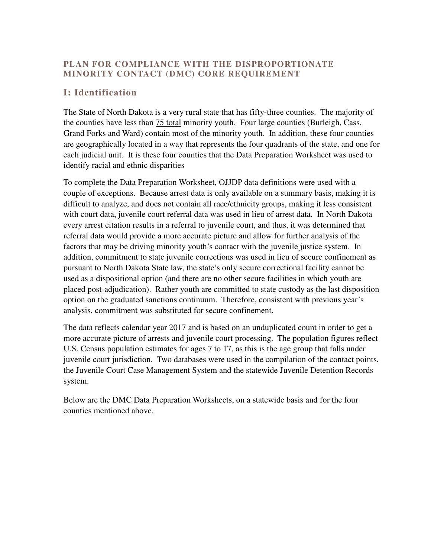## **PLAN FOR COMPLIANCE WITH THE DISPROPORTIONATE MINORITY CONTACT (DMC) CORE REQUIREMENT**

## **I: Identification**

 The State of North Dakota is a very rural state that has fifty-three counties. The majority of the counties have less than **75 total minority youth.** Four large counties (Burleigh, Cass, Grand Forks and Ward) contain most of the minority youth. In addition, these four counties are geographically located in a way that represents the four quadrants of the state, and one for each judicial unit. It is these four counties that the Data Preparation Worksheet was used to identify racial and ethnic disparities

 To complete the Data Preparation Worksheet, OJJDP data definitions were used with a couple of exceptions. Because arrest data is only available on a summary basis, making it is difficult to analyze, and does not contain all race/ethnicity groups, making it less consistent with court data, juvenile court referral data was used in lieu of arrest data. In North Dakota every arrest citation results in a referral to juvenile court, and thus, it was determined that referral data would provide a more accurate picture and allow for further analysis of the factors that may be driving minority youth's contact with the juvenile justice system. In addition, commitment to state juvenile corrections was used in lieu of secure confinement as pursuant to North Dakota State law, the state's only secure correctional facility cannot be used as a dispositional option (and there are no other secure facilities in which youth are placed post-adjudication). Rather youth are committed to state custody as the last disposition option on the graduated sanctions continuum. Therefore, consistent with previous year's analysis, commitment was substituted for secure confinement.

 The data reflects calendar year 2017 and is based on an unduplicated count in order to get a more accurate picture of arrests and juvenile court processing. The population figures reflect U.S. Census population estimates for ages 7 to 17, as this is the age group that falls under juvenile court jurisdiction. Two databases were used in the compilation of the contact points, the Juvenile Court Case Management System and the statewide Juvenile Detention Records system.

system.<br>Below are the DMC Data Preparation Worksheets, on a statewide basis and for the four counties mentioned above.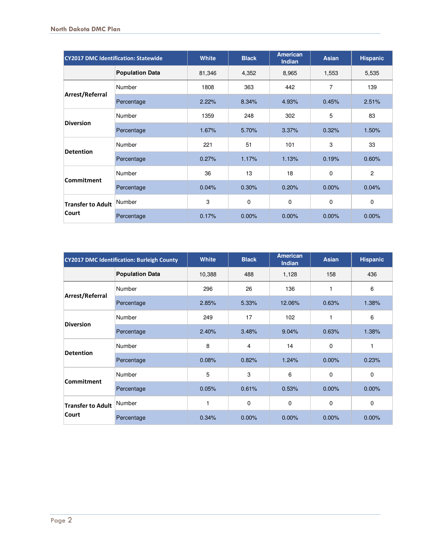| <b>CY2017 DMC Identification: Statewide</b> |                        | <b>White</b> | <b>Black</b> | <b>American</b><br><b>Indian</b> | <b>Asian</b> | <b>Hispanic</b> |
|---------------------------------------------|------------------------|--------------|--------------|----------------------------------|--------------|-----------------|
|                                             | <b>Population Data</b> | 81,346       | 4,352        | 8,965                            | 1,553        | 5,535           |
| Arrest/Referral                             | Number                 | 1808         | 363          | 442                              | 7            | 139             |
|                                             | Percentage             | 2.22%        | 8.34%        | 4.93%                            | 0.45%        | 2.51%           |
| <b>Diversion</b>                            | Number                 | 1359         | 248          | 302                              | 5            | 83              |
|                                             | Percentage             | 1.67%        | 5.70%        | 3.37%                            | 0.32%        | 1.50%           |
| <b>Detention</b>                            | Number                 | 221          | 51           | 101                              | 3            | 33              |
|                                             | Percentage             | 0.27%        | 1.17%        | 1.13%                            | 0.19%        | 0.60%           |
| Commitment                                  | <b>Number</b>          | 36           | 13           | 18                               | 0            | $\mathbf{2}$    |
|                                             | Percentage             | 0.04%        | 0.30%        | 0.20%                            | 0.00%        | 0.04%           |
| <b>Transfer to Adult</b><br>Court           | Number                 | 3            | 0            | 0                                | 0            | $\mathbf 0$     |
|                                             | Percentage             | 0.17%        | 0.00%        | 0.00%                            | 0.00%        | 0.00%           |

| <b>CY2017 DMC Identification: Burleigh County</b> |                        | <b>White</b> | <b>Black</b>   | <b>American</b><br><b>Indian</b> | <b>Asian</b> | <b>Hispanic</b> |
|---------------------------------------------------|------------------------|--------------|----------------|----------------------------------|--------------|-----------------|
|                                                   | <b>Population Data</b> | 10,388       | 488            | 1,128                            | 158          | 436             |
| Arrest/Referral                                   | Number                 | 296          | 26             | 136                              | 1            | 6               |
|                                                   | Percentage             | 2.85%        | 5.33%          | 12.06%                           | 0.63%        | 1.38%           |
| <b>Diversion</b>                                  | Number                 | 249          | 17             | 102                              | 1            | 6               |
|                                                   | Percentage             | 2.40%        | 3.48%          | 9.04%                            | 0.63%        | 1.38%           |
| <b>Detention</b>                                  | Number                 | 8            | $\overline{4}$ | 14                               | $\mathbf 0$  | 1               |
|                                                   | Percentage             | 0.08%        | 0.82%          | 1.24%                            | 0.00%        | 0.23%           |
| Commitment                                        | Number                 | 5            | 3              | 6                                | $\Omega$     | 0               |
|                                                   | Percentage             | 0.05%        | 0.61%          | 0.53%                            | 0.00%        | 0.00%           |
| <b>Transfer to Adult</b><br>Court                 | Number                 | 1            | $\mathbf 0$    | $\mathbf 0$                      | $\Omega$     | 0               |
|                                                   | Percentage             | 0.34%        | 0.00%          | 0.00%                            | 0.00%        | 0.00%           |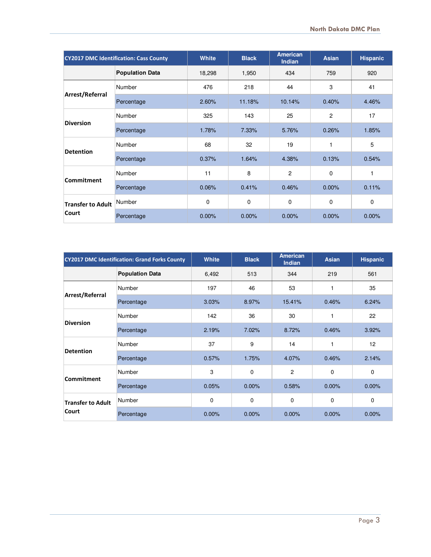| <b>CY2017 DMC Identification: Cass County</b> |                        | <b>White</b> | <b>Black</b> | <b>American</b><br><b>Indian</b> | <b>Asian</b>   | <b>Hispanic</b> |
|-----------------------------------------------|------------------------|--------------|--------------|----------------------------------|----------------|-----------------|
|                                               | <b>Population Data</b> | 18,298       | 1,950        | 434                              | 759            | 920             |
| Arrest/Referral                               | Number                 | 476          | 218          | 44                               | 3              | 41              |
|                                               | Percentage             | 2.60%        | 11.18%       | 10.14%                           | 0.40%          | 4.46%           |
| <b>Diversion</b>                              | Number                 | 325          | 143          | 25                               | $\overline{2}$ | 17              |
|                                               | Percentage             | 1.78%        | 7.33%        | 5.76%                            | 0.26%          | 1.85%           |
| <b>Detention</b>                              | Number                 | 68           | 32           | 19                               | 1              | 5               |
|                                               | Percentage             | 0.37%        | 1.64%        | 4.38%                            | 0.13%          | 0.54%           |
| <b>Commitment</b>                             | <b>Number</b>          | 11           | 8            | $\overline{2}$                   | 0              | 1               |
|                                               | Percentage             | 0.06%        | 0.41%        | 0.46%                            | 0.00%          | 0.11%           |
| <b>Transfer to Adult</b><br>Court             | Number                 | 0            | 0            | $\mathbf 0$                      | 0              | $\mathbf 0$     |
|                                               | Percentage             | 0.00%        | 0.00%        | 0.00%                            | 0.00%          | 0.00%           |

| <b>CY2017 DMC Identification: Grand Forks County</b> |                        | White | <b>Black</b> | <b>American</b><br><b>Indian</b> | <b>Asian</b> | <b>Hispanic</b> |
|------------------------------------------------------|------------------------|-------|--------------|----------------------------------|--------------|-----------------|
|                                                      | <b>Population Data</b> | 6,492 | 513          | 344                              | 219          | 561             |
| Arrest/Referral                                      | Number                 | 197   | 46           | 53                               | 1            | 35              |
|                                                      | Percentage             | 3.03% | 8.97%        | 15.41%                           | 0.46%        | 6.24%           |
| <b>Diversion</b>                                     | Number                 | 142   | 36           | 30                               | 1            | 22              |
|                                                      | Percentage             | 2.19% | 7.02%        | 8.72%                            | 0.46%        | 3.92%           |
| <b>Detention</b>                                     | Number                 | 37    | 9            | 14                               | 1            | 12              |
|                                                      | Percentage             | 0.57% | 1.75%        | 4.07%                            | 0.46%        | 2.14%           |
| Commitment                                           | Number                 | 3     | $\mathbf 0$  | $\overline{c}$                   | 0            | 0               |
|                                                      | Percentage             | 0.05% | $0.00\%$     | 0.58%                            | 0.00%        | $0.00\%$        |
| <b>Transfer to Adult</b><br>Court                    | Number                 | 0     | $\mathbf 0$  | 0                                | 0            | 0               |
|                                                      | Percentage             | 0.00% | 0.00%        | $0.00\%$                         | 0.00%        | 0.00%           |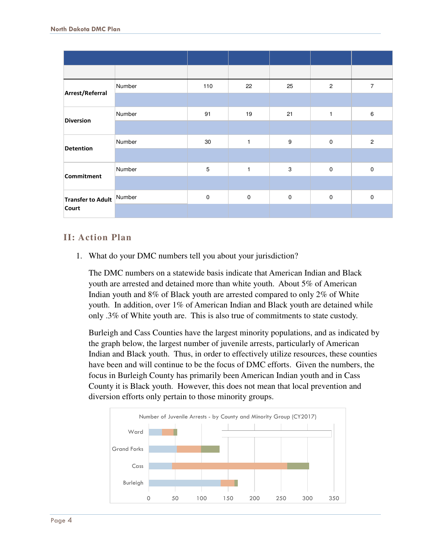|                                   | Number | 110         | 22           | 25                        | $\overline{c}$ | $\overline{7}$ |
|-----------------------------------|--------|-------------|--------------|---------------------------|----------------|----------------|
| Arrest/Referral                   |        |             |              |                           |                |                |
| <b>Diversion</b>                  | Number | 91          | 19           | 21                        | $\mathbf{1}$   | 6              |
|                                   |        |             |              |                           |                |                |
| <b>Detention</b>                  | Number | 30          | $\mathbf{1}$ | 9                         | $\pmb{0}$      | $\overline{c}$ |
|                                   |        |             |              |                           |                |                |
| <b>Commitment</b>                 | Number | 5           | $\mathbf{1}$ | $\ensuremath{\mathsf{3}}$ | $\mathbf 0$    | $\mathsf 0$    |
|                                   |        |             |              |                           |                |                |
| Transfer to Adult Number<br>Court |        | $\mathbf 0$ | $\mathbf 0$  | $\mathbf 0$               | $\mathbf 0$    | $\mathbf 0$    |
|                                   |        |             |              |                           |                |                |

## **II: Action Plan**

1. What do your DMC numbers tell you about your jurisdiction?

 The DMC numbers on a statewide basis indicate that American Indian and Black youth are arrested and detained more than white youth. About 5% of American Indian youth and 8% of Black youth are arrested compared to only 2% of White youth. In addition, over 1% of American Indian and Black youth are detained while only .3% of White youth are. This is also true of commitments to state custody.

 Burleigh and Cass Counties have the largest minority populations, and as indicated by the graph below, the largest number of juvenile arrests, particularly of American Indian and Black youth. Thus, in order to effectively utilize resources, these counties have been and will continue to be the focus of DMC efforts. Given the numbers, the focus in Burleigh County has primarily been American Indian youth and in Cass County it is Black youth. However, this does not mean that local prevention and diversion efforts only pertain to those minority groups.

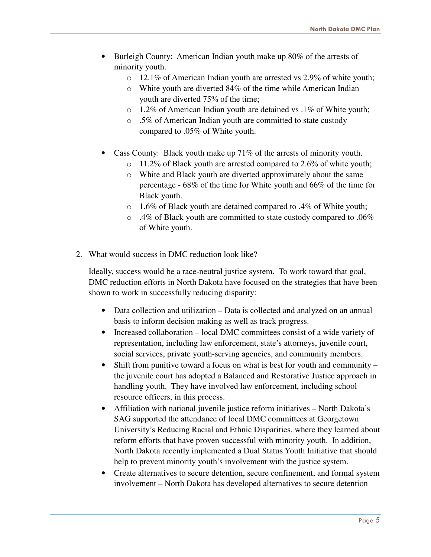- • Burleigh County: American Indian youth make up 80% of the arrests of minority youth.
	- o 12.1% of American Indian youth are arrested vs 2.9% of white youth;
	- o White youth are diverted 84% of the time while American Indian youth are diverted 75% of the time;
	- o 1.2% of American Indian youth are detained vs .1% of White youth;
	- o .5% of American Indian youth are committed to state custody compared to .05% of White youth.
- Cass County: Black youth make up 71% of the arrests of minority youth.
	- o 11.2% of Black youth are arrested compared to 2.6% of white youth;
	- o White and Black youth are diverted approximately about the same percentage - 68% of the time for White youth and 66% of the time for Black youth.
	- o 1.6% of Black youth are detained compared to .4% of White youth;
	- $\circ$  .4% of Black youth are committed to state custody compared to .06% of White youth.
- 2. What would success in DMC reduction look like?

 Ideally, success would be a race-neutral justice system. To work toward that goal, DMC reduction efforts in North Dakota have focused on the strategies that have been shown to work in successfully reducing disparity:

- • Data collection and utilization Data is collected and analyzed on an annual basis to inform decision making as well as track progress.
- • Increased collaboration local DMC committees consist of a wide variety of representation, including law enforcement, state's attorneys, juvenile court, social services, private youth-serving agencies, and community members.
- Shift from punitive toward a focus on what is best for youth and community the juvenile court has adopted a Balanced and Restorative Justice approach in handling youth. They have involved law enforcement, including school resource officers, in this process.
- • Affiliation with national juvenile justice reform initiatives North Dakota's SAG supported the attendance of local DMC committees at Georgetown University's Reducing Racial and Ethnic Disparities, where they learned about reform efforts that have proven successful with minority youth. In addition, North Dakota recently implemented a Dual Status Youth Initiative that should help to prevent minority youth's involvement with the justice system.
- • Create alternatives to secure detention, secure confinement, and formal system involvement – North Dakota has developed alternatives to secure detention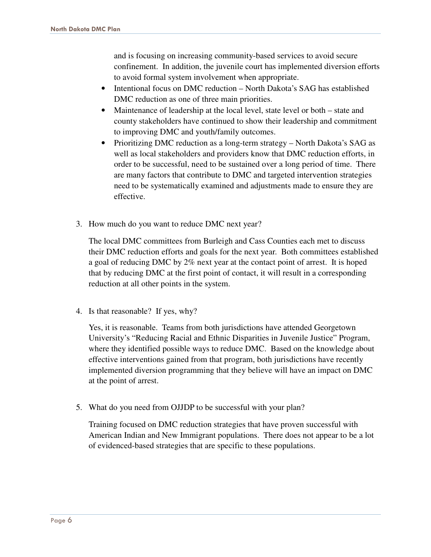and is focusing on increasing community-based services to avoid secure confinement. In addition, the juvenile court has implemented diversion efforts to avoid formal system involvement when appropriate.

- • Intentional focus on DMC reduction North Dakota's SAG has established DMC reduction as one of three main priorities.
- • Maintenance of leadership at the local level, state level or both state and county stakeholders have continued to show their leadership and commitment to improving DMC and youth/family outcomes.
- • Prioritizing DMC reduction as a long-term strategy North Dakota's SAG as well as local stakeholders and providers know that DMC reduction efforts, in order to be successful, need to be sustained over a long period of time. There are many factors that contribute to DMC and targeted intervention strategies need to be systematically examined and adjustments made to ensure they are effective.
- effective.<br>3. How much do you want to reduce DMC next year?

 The local DMC committees from Burleigh and Cass Counties each met to discuss their DMC reduction efforts and goals for the next year. Both committees established a goal of reducing DMC by 2% next year at the contact point of arrest. It is hoped that by reducing DMC at the first point of contact, it will result in a corresponding reduction at all other points in the system.

4. Is that reasonable? If yes, why?

 Yes, it is reasonable. Teams from both jurisdictions have attended Georgetown University's "Reducing Racial and Ethnic Disparities in Juvenile Justice" Program, where they identified possible ways to reduce DMC. Based on the knowledge about effective interventions gained from that program, both jurisdictions have recently implemented diversion programming that they believe will have an impact on DMC at the point of arrest.

5. What do you need from OJJDP to be successful with your plan?

 Training focused on DMC reduction strategies that have proven successful with American Indian and New Immigrant populations. There does not appear to be a lot of evidenced-based strategies that are specific to these populations.